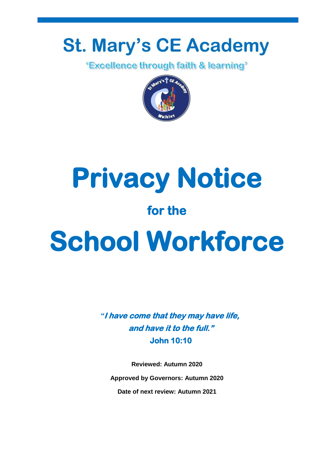# **St. Mary's CE Academy**

*'Excellence through faith & learning'* 





*"***I have come that they may have life, and have it to the full." John 10:10** 

**Reviewed: Autumn 2020 Approved by Governors: Autumn 2020 Date of next review: Autumn 2021**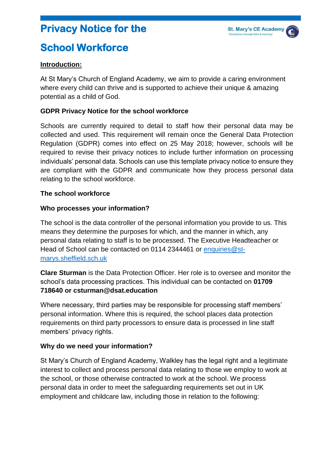## **Privacy Notice for the**

# **School Workforce**

#### **Introduction:**

At St Mary's Church of England Academy, we aim to provide a caring environment where every child can thrive and is supported to achieve their unique & amazing potential as a child of God.

#### **GDPR Privacy Notice for the school workforce**

Schools are currently required to detail to staff how their personal data may be collected and used. This requirement will remain once the General Data Protection Regulation (GDPR) comes into effect on 25 May 2018; however, schools will be required to revise their privacy notices to include further information on processing individuals' personal data. Schools can use this template privacy notice to ensure they are compliant with the GDPR and communicate how they process personal data relating to the school workforce.

#### **The school workforce**

#### **Who processes your information?**

The school is the data controller of the personal information you provide to us. This means they determine the purposes for which, and the manner in which, any personal data relating to staff is to be processed. The Executive Headteacher or Head of School can be contacted on 0114 2344461 or enquiries@stmarys.sheffield.sch.uk

**Clare Sturman** is the Data Protection Officer. Her role is to oversee and monitor the school's data processing practices. This individual can be contacted on **01709 718640 or csturman@dsat.education**

Where necessary, third parties may be responsible for processing staff members' personal information. Where this is required, the school places data protection requirements on third party processors to ensure data is processed in line staff members' privacy rights.

#### **Why do we need your information?**

St Mary's Church of England Academy, Walkley has the legal right and a legitimate interest to collect and process personal data relating to those we employ to work at the school, or those otherwise contracted to work at the school. We process personal data in order to meet the safeguarding requirements set out in UK employment and childcare law, including those in relation to the following: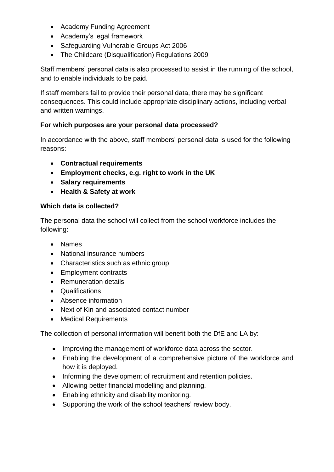- Academy Funding Agreement
- Academy's legal framework
- Safeguarding Vulnerable Groups Act 2006
- The Childcare (Disqualification) Regulations 2009

Staff members' personal data is also processed to assist in the running of the school, and to enable individuals to be paid.

If staff members fail to provide their personal data, there may be significant consequences. This could include appropriate disciplinary actions, including verbal and written warnings.

#### **For which purposes are your personal data processed?**

In accordance with the above, staff members' personal data is used for the following reasons:

- **Contractual requirements**
- **Employment checks, e.g. right to work in the UK**
- **Salary requirements**
- **Health & Safety at work**

#### **Which data is collected?**

The personal data the school will collect from the school workforce includes the following:

- Names
- National insurance numbers
- Characteristics such as ethnic group
- Employment contracts
- Remuneration details
- Qualifications
- Absence information
- Next of Kin and associated contact number
- Medical Requirements

The collection of personal information will benefit both the DfE and LA by:

- Improving the management of workforce data across the sector.
- Enabling the development of a comprehensive picture of the workforce and how it is deployed.
- Informing the development of recruitment and retention policies.
- Allowing better financial modelling and planning.
- Enabling ethnicity and disability monitoring.
- Supporting the work of the school teachers' review body.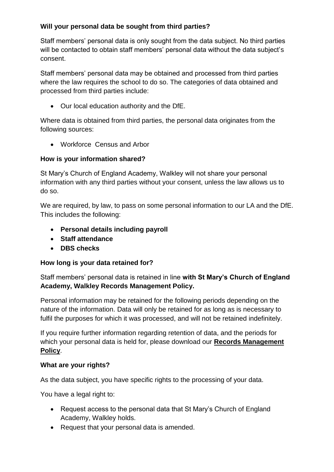### **Will your personal data be sought from third parties?**

Staff members' personal data is only sought from the data subject. No third parties will be contacted to obtain staff members' personal data without the data subject's consent.

Staff members' personal data may be obtained and processed from third parties where the law requires the school to do so. The categories of data obtained and processed from third parties include:

Our local education authority and the DfE.

Where data is obtained from third parties, the personal data originates from the following sources:

Workforce Census and Arbor

#### **How is your information shared?**

St Mary's Church of England Academy, Walkley will not share your personal information with any third parties without your consent, unless the law allows us to do so.

We are required, by law, to pass on some personal information to our LA and the DfE. This includes the following:

- **Personal details including payroll**
- **Staff attendance**
- **DBS checks**

#### **How long is your data retained for?**

Staff members' personal data is retained in line **with St Mary's Church of England Academy, Walkley Records Management Policy.**

Personal information may be retained for the following periods depending on the nature of the information. Data will only be retained for as long as is necessary to fulfil the purposes for which it was processed, and will not be retained indefinitely.

If you require further information regarding retention of data, and the periods for which your personal data is held for, please download our **Records Management Policy**.

#### **What are your rights?**

As the data subject, you have specific rights to the processing of your data.

You have a legal right to:

- Request access to the personal data that St Mary's Church of England Academy, Walkley holds.
- Request that your personal data is amended.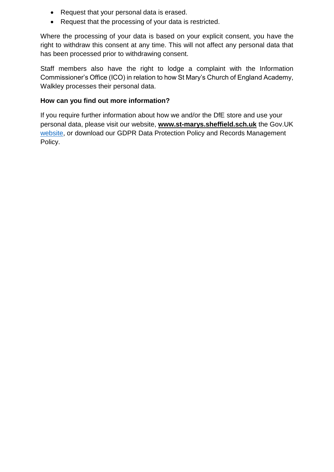- Request that your personal data is erased.
- Request that the processing of your data is restricted.

Where the processing of your data is based on your explicit consent, you have the right to withdraw this consent at any time. This will not affect any personal data that has been processed prior to withdrawing consent.

Staff members also have the right to lodge a complaint with the Information Commissioner's Office (ICO) in relation to how St Mary's Church of England Academy, Walkley processes their personal data.

#### **How can you find out more information?**

If you require further information about how we and/or the DfE store and use your personal data, please visit our website, **www.st-marys.sheffield.sch.uk** the Gov.UK website, or download our GDPR Data Protection Policy and Records Management Policy.